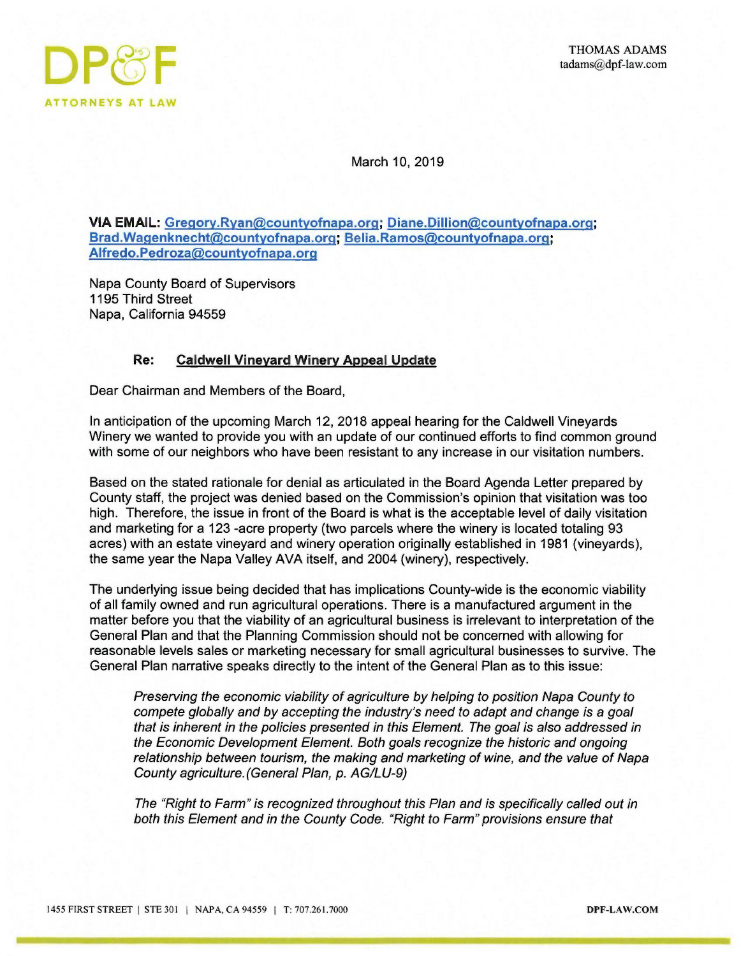

March 10, 2019

VIA EMAIL: Gregory.Ryan@countyofnapa.org; Diane.Dillion@countyofnapa.org; Brad.Wagenknecht@countyofnapa.org; Belia.Ramos@countyofnapa.org; Alfredo.Pedroza@countyofnapa.org

Napa County Board of Supervisors 1195 Third Street Napa, California 94559

## Re: Caldwell Vineyard Winery Appeal Update

Dear Chairman and Members of the Board,

In anticipation of the upcoming March 12, 2018 appeal hearing for the Caldwell Vineyards Winery we wanted to provide you with an update of our continued efforts to find common ground with some of our neighbors who have been resistant to any increase in our visitation numbers.

Based on the stated rationale for denial as articulated in the Board Agenda Letter prepared by County staff, the project was denied based on the Commission's opinion that visitation was too high. Therefore, the issue in front of the Board is what is the acceptable level of daily visitation and marketing fora 123 -acre property (two parcels where the winery is located totaling 93 acres) with an estate vineyard and winery operation originally established in 1981 (vineyards), the same year the Napa Valley AVA itself, and 2004 (winery), respectively.

The underlying issue being decided that has implications County-wide is the economic viability of all family owned and run agricultural operations. There is a manufactured argument in the matter before you that the viability of an agricultural business is irrelevant to interpretation of the General Plan and that the Planning Commission should not be concerned with allowing for reasonable levels sales or marketing necessary for small agricultural businesses to survive. The General Plan narrative speaks directly to the intent of the General Plan as to this issue:

Preserving the economic viability of agriculture by helping to position Napa County to compete globally and by accepting the industry's need to adapt and change is a goal that is inherent in the policies presented in this Element. The goal is also addressed in the Economic Development Element. Both goals recognize the historic and ongoing relationship between tourism, the making and marketing of wine, and the value of Napa County agriculture. (General Plan, p. AG/LU-9)

The "Right to Farm" is recognized throughout this Plan and is specifically called out in both this Element and in the County Code. "Right to Farm" provisions ensure that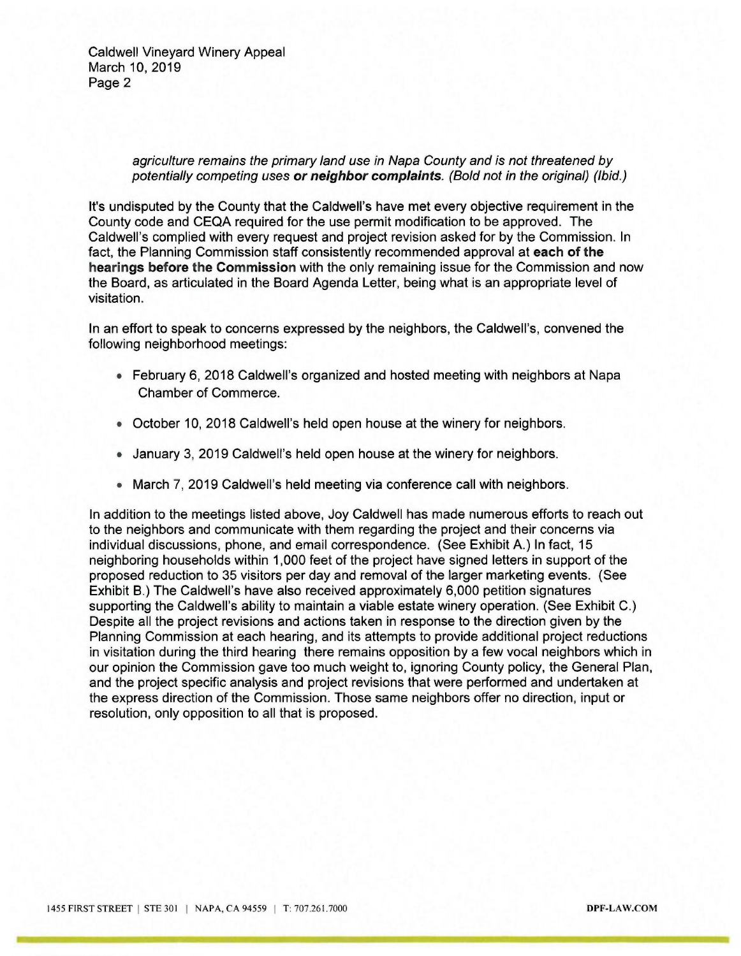Caldwell Vineyard Winery Appeal March 10, 2019 Page 2

> agriculture remains the primary land use in Napa County and is not threatened by potentially competing uses or neighbor complaints. (Bold not in the original) (Ibid.)

It's undisputed by the County that the Caldwell's have met every objective requirement in the County code and CEQA required for the use permit modification to be approved. The Caldwell's complied with every request and project revision asked for by the Commission. In fact, the Planning Commission staff consistently recommended approval at each of the hearings before the Commission with the only remaining issue for the Commission and now the Board, as articulated in the Board Agenda Letter, being what is an appropriate level of visitation.

In an effort to speak to concerns expressed by the neighbors, the Caldwell's, convened the following neighborhood meetings:

- February 6, 2018 Caldwell's organized and hosted meeting with neighbors at Napa Chamber of Commerce.
- October 10, 2018 Caldwell's held open house at the winery for neighbors.
- January 3, 2019 Caldwell's held open house at the winery for neighbors.
- March 7, 2019 Caldwell's held meeting via conference call with neighbors.

In addition to the meetings listed above, Joy Caldwell has made numerous efforts to reach out to the neighbors and communicate with them regarding the project and their concerns via individual discussions, phone, and email correspondence. (See Exhibit A.) In fact, 15 neighboring households within 1,000 feet of the project have signed letters in support of the proposed reduction to 35 visitors per day and removal of the larger marketing events. (See Exhibit B.) The Caldwell's have also received approximately 6,000 petition signatures supporting the Caldwell's ability to maintain a viable estate winery operation. (See Exhibit C.) Despite all the project revisions and actions taken in response to the direction given by the Planning Commission at each hearing, and its attempts to provide additional project reductions in visitation during the third hearing there remains opposition by a few vocal neighbors which in our opinion the Commission gave too much weight to, ignoring County policy, the General Plan, and the project specific analysis and project revisions that were performed and undertaken at the express direction of the Commission. Those same neighbors offer no direction, input or resolution, only opposition to all that is proposed.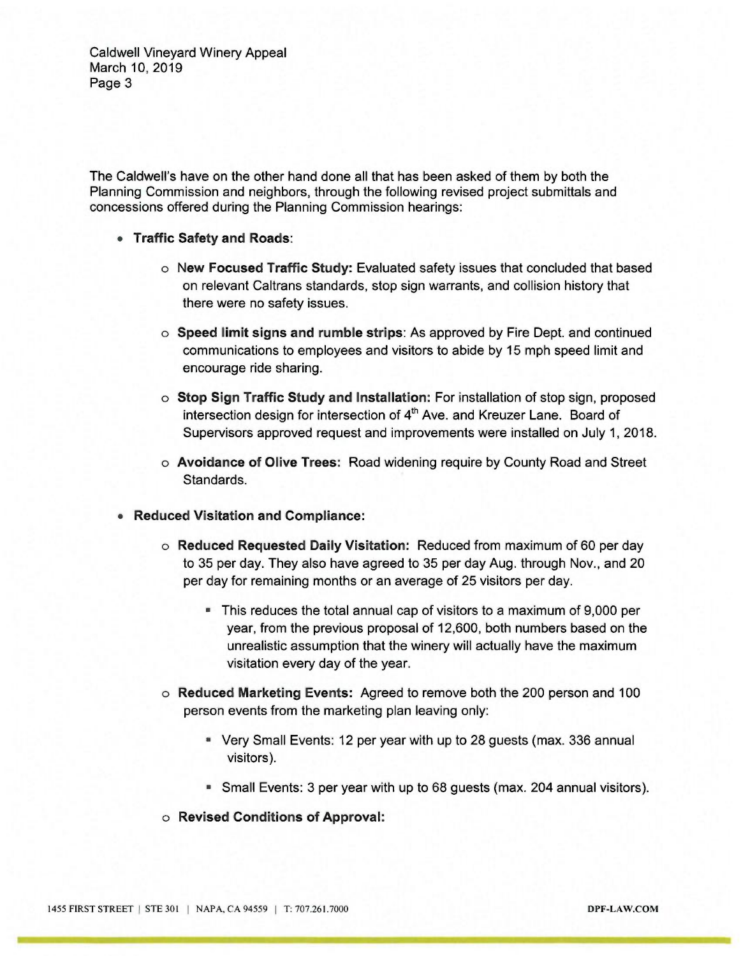Caldwell Vineyard Winery Appeal March 10, 2019 Page 3

The Caldwell's have on the other hand done all that has been asked of them by both the Planning Commission and neighbors, through the following revised project submittals and concessions offered during the Planning Commission hearings:

- Traffic Safety and Roads:
	- o New Focused Traffic Study: Evaluated safety issues that concluded that based on relevant Caltrans standards, stop sign warrants, and collision history that there were no safety issues.
	- $\circ$  Speed limit signs and rumble strips: As approved by Fire Dept. and continued communications to employees and visitors to abide by 15 mph speed limit and encourage ride sharing.
	- $\circ$  Stop Sign Traffic Study and Installation: For installation of stop sign, proposed intersection design for intersection of  $4<sup>th</sup>$  Ave. and Kreuzer Lane. Board of Supervisors approved request and improvements were installed on July 1, 2018.
	- o Avoidance of Olive Trees: Road widening require by County Road and Street Standards.
- Reduced Visitation and Compliance:
	- o Reduced Requested Daily Visitation: Reduced from maximum of 60 per day to 35 per day. They also have agreed to 35 per day Aug. through Nov., and 20 per day for remaining months or an average of 25 visitors per day.
		- This reduces the total annual cap of visitors to a maximum of 9,000 per year, from the previous proposal of 12,600, both numbers based on the unrealistic assumption that the winery will actually have the maximum visitation every day of the year.
	- o Reduced Marketing Events: Agreed to remove both the 200 person and 100 person events from the marketing plan leaving only:
		- Very Small Events: 12 per year with up to 28 guests (max. 336 annual visitors).
		- Small Events: 3 per year with up to 68 guests (max. 204 annual visitors).
	- o Revised Conditions of Approval: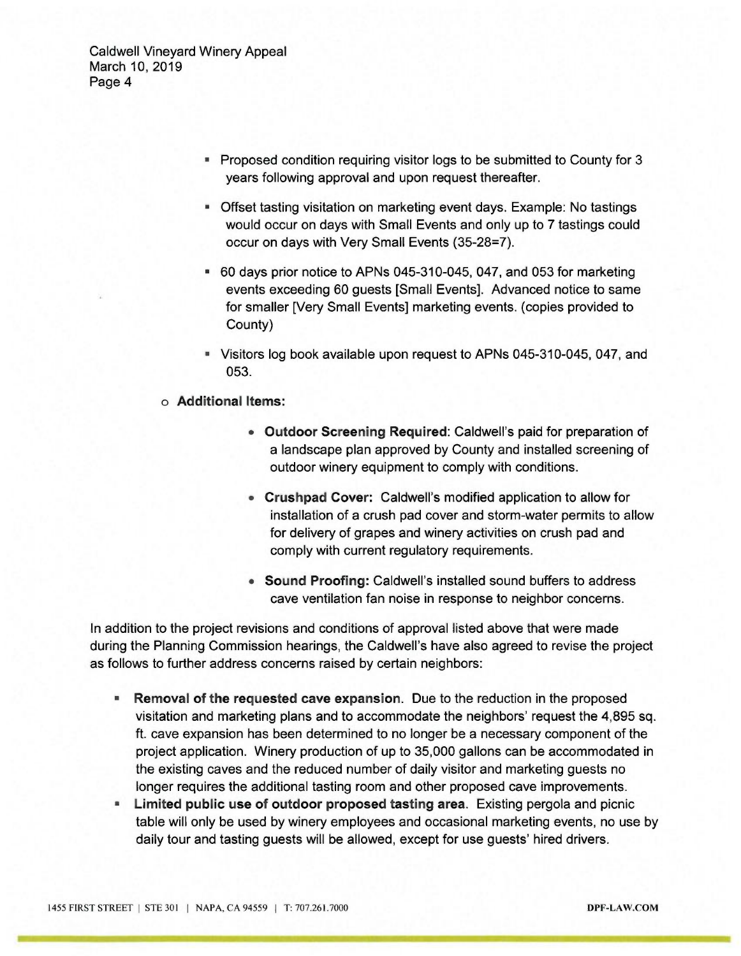Caldwell Vineyard Winery Appeal March 10, 2019 Page 4

- Proposed condition requiring visitor logs to be submitted to County for 3 years following approval and upon request thereafter.
- Offset tasting visitation on marketing event days. Example: No tastings would occur on days with Small Events and only up to 7 tastings could occur on days with Very Small Events (35-28=7).
- 60 days prior notice to APNs 045-310-045, 047, and 053 for marketing events exceeding 60 guests [Small Events]. Advanced notice to same for smaller [Very Small Events] marketing events. (copies provided to County)
- Visitors log book available upon request to APNs 045-310-045, 047, and 053.
- o Additional ltems:
	- Outdoor Screening Required: Caldwell's paid for preparation of a landscape plan approved by County and installed screening of outdoor winery equipment to comply with conditions.
	- Crushpad Cover: Caldwell's modified application to allow for installation of a crush pad cover and storm-water permits to allow for delivery of grapes and winery activities on crush pad and comply with current regulatory requirements.
	- Sound Proofing: Caldwell's installed sound buffers to address cave ventilation fan noise in response to neighbor concerns.

In addition to the project revisions and conditions of approval listed above that were made during the Planning Commission hearings, the Caldwell's have also agreed to revise the project as follows to further address concerns raised by certain neighbors:

- Removal of the requested cave expansion. Due to the reduction in the proposed  $\blacksquare$ visitation and marketing plans and to accommodate the neighbors' request the 4,895 sq. ft. cave expansion has been determined to no longer be a necessary component of the project application. Winery production of up to 35,000 gallons can be accommodated in the existing caves and the reduced number of daily visitor and marketing guests no longer requires the additional tasting room and other proposed cave improvements.
- Limited public use of outdoor proposed tasting area. Existing pergola and picnic table will only be used by winery employees and occasional marketing events, no use by daily tour and tasting guests will be allowed, except for use guests' hired drivers.